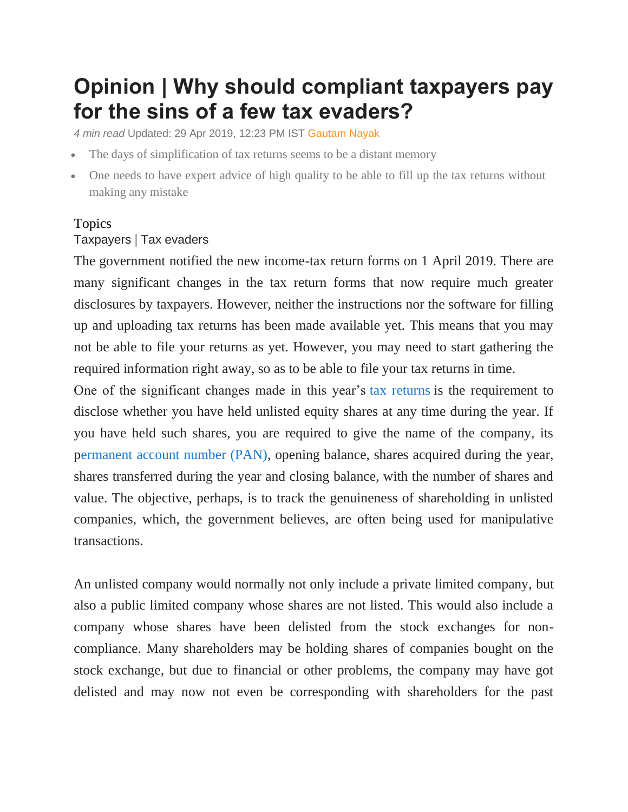## **Opinion | Why should compliant taxpayers pay for the sins of a few tax evaders?**

*4 min read* Updated: 29 Apr 2019, 12:23 PM IST [Gautam Nayak](https://www.livemint.com/Search/Link/Author/Gautam%20Nayak)

- The days of simplification of tax returns seems to be a distant memory
- One needs to have expert advice of high quality to be able to fill up the tax returns without making any mistake

## Topics [Taxpayers](https://www.livemint.com/topic/taxpayers) | [Tax evaders](https://www.livemint.com/topic/tax-evaders)

The government notified the new income-tax return forms on 1 April 2019. There are many significant changes in the tax return forms that now require much greater disclosures by taxpayers. However, neither the instructions nor the software for filling up and uploading tax returns has been made available yet. This means that you may not be able to file your returns as yet. However, you may need to start gathering the required information right away, so as to be able to file your tax returns in time.

One of the significant changes made in this year's [tax returns](https://www.livemint.com/money/personal-finance/how-your-tax-changed-in-past-5-years-1556333409887.html) is the requirement to disclose whether you have held unlisted equity shares at any time during the year. If you have held such shares, you are required to give the name of the company, its [permanent account number \(PAN\),](https://www.livemint.com/money/personal-finance/pan-card-aadhar-card-link-aadhaar-income-tax-department-1553583657777.html) opening balance, shares acquired during the year, shares transferred during the year and closing balance, with the number of shares and value. The objective, perhaps, is to track the genuineness of shareholding in unlisted companies, which, the government believes, are often being used for manipulative transactions.

An unlisted company would normally not only include a private limited company, but also a public limited company whose shares are not listed. This would also include a company whose shares have been delisted from the stock exchanges for noncompliance. Many shareholders may be holding shares of companies bought on the stock exchange, but due to financial or other problems, the company may have got delisted and may now not even be corresponding with shareholders for the past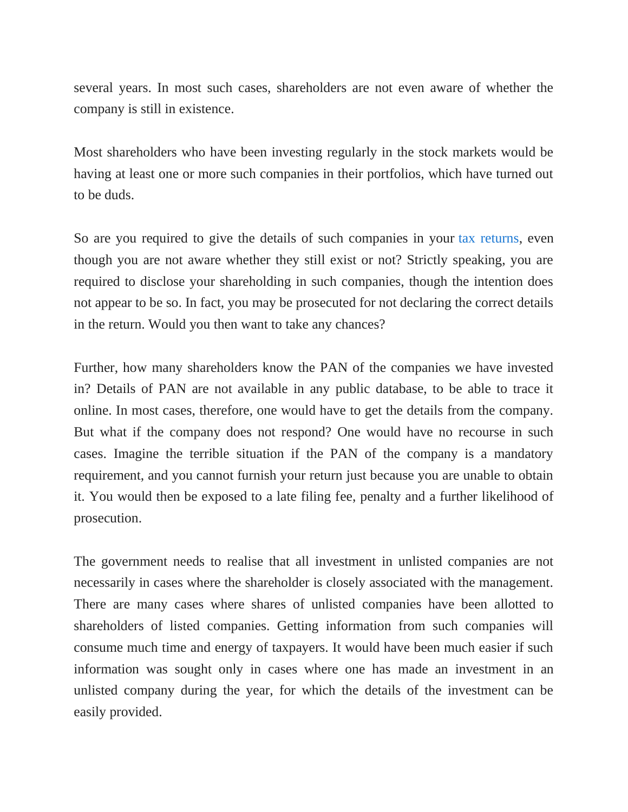several years. In most such cases, shareholders are not even aware of whether the company is still in existence.

Most shareholders who have been investing regularly in the stock markets would be having at least one or more such companies in their portfolios, which have turned out to be duds.

So are you required to give the details of such companies in your [tax returns,](https://www.livemint.com/politics/policy/tax-payers-mp-mlas-not-to-get-rs-6-000-per-year-cash-dole-for-farmers-1549542985391.html) even though you are not aware whether they still exist or not? Strictly speaking, you are required to disclose your shareholding in such companies, though the intention does not appear to be so. In fact, you may be prosecuted for not declaring the correct details in the return. Would you then want to take any chances?

Further, how many shareholders know the PAN of the companies we have invested in? Details of PAN are not available in any public database, to be able to trace it online. In most cases, therefore, one would have to get the details from the company. But what if the company does not respond? One would have no recourse in such cases. Imagine the terrible situation if the PAN of the company is a mandatory requirement, and you cannot furnish your return just because you are unable to obtain it. You would then be exposed to a late filing fee, penalty and a further likelihood of prosecution.

The government needs to realise that all investment in unlisted companies are not necessarily in cases where the shareholder is closely associated with the management. There are many cases where shares of unlisted companies have been allotted to shareholders of listed companies. Getting information from such companies will consume much time and energy of taxpayers. It would have been much easier if such information was sought only in cases where one has made an investment in an unlisted company during the year, for which the details of the investment can be easily provided.